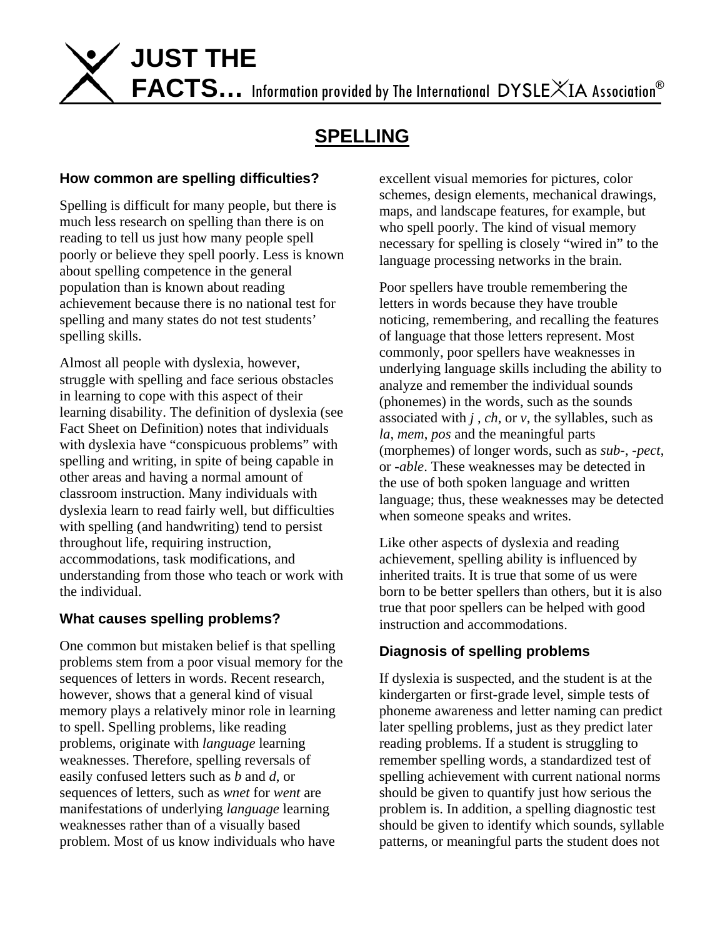

# **SPELLING**

## **How common are spelling difficulties?**

Spelling is difficult for many people, but there is much less research on spelling than there is on reading to tell us just how many people spell poorly or believe they spell poorly. Less is known about spelling competence in the general population than is known about reading achievement because there is no national test for spelling and many states do not test students' spelling skills.

Almost all people with dyslexia, however, struggle with spelling and face serious obstacles in learning to cope with this aspect of their learning disability. The definition of dyslexia (see Fact Sheet on Definition) notes that individuals with dyslexia have "conspicuous problems" with spelling and writing, in spite of being capable in other areas and having a normal amount of classroom instruction. Many individuals with dyslexia learn to read fairly well, but difficulties with spelling (and handwriting) tend to persist throughout life, requiring instruction, accommodations, task modifications, and understanding from those who teach or work with the individual.

# **What causes spelling problems?**

One common but mistaken belief is that spelling problems stem from a poor visual memory for the sequences of letters in words. Recent research, however, shows that a general kind of visual memory plays a relatively minor role in learning to spell. Spelling problems, like reading problems, originate with *language* learning weaknesses. Therefore, spelling reversals of easily confused letters such as *b* and *d*, or sequences of letters, such as *wnet* for *went* are manifestations of underlying *language* learning weaknesses rather than of a visually based problem. Most of us know individuals who have

excellent visual memories for pictures, color schemes, design elements, mechanical drawings, maps, and landscape features, for example, but who spell poorly. The kind of visual memory necessary for spelling is closely "wired in" to the language processing networks in the brain.

Poor spellers have trouble remembering the letters in words because they have trouble noticing, remembering, and recalling the features of language that those letters represent. Most commonly, poor spellers have weaknesses in underlying language skills including the ability to analyze and remember the individual sounds (phonemes) in the words, such as the sounds associated with *j* , *ch*, or *v*, the syllables, such as *la*, *mem*, *pos* and the meaningful parts (morphemes) of longer words, such as *sub-*, *-pect*, or *-able*. These weaknesses may be detected in the use of both spoken language and written language; thus, these weaknesses may be detected when someone speaks and writes.

Like other aspects of dyslexia and reading achievement, spelling ability is influenced by inherited traits. It is true that some of us were born to be better spellers than others, but it is also true that poor spellers can be helped with good instruction and accommodations.

# **Diagnosis of spelling problems**

If dyslexia is suspected, and the student is at the kindergarten or first-grade level, simple tests of phoneme awareness and letter naming can predict later spelling problems, just as they predict later reading problems. If a student is struggling to remember spelling words, a standardized test of spelling achievement with current national norms should be given to quantify just how serious the problem is. In addition, a spelling diagnostic test should be given to identify which sounds, syllable patterns, or meaningful parts the student does not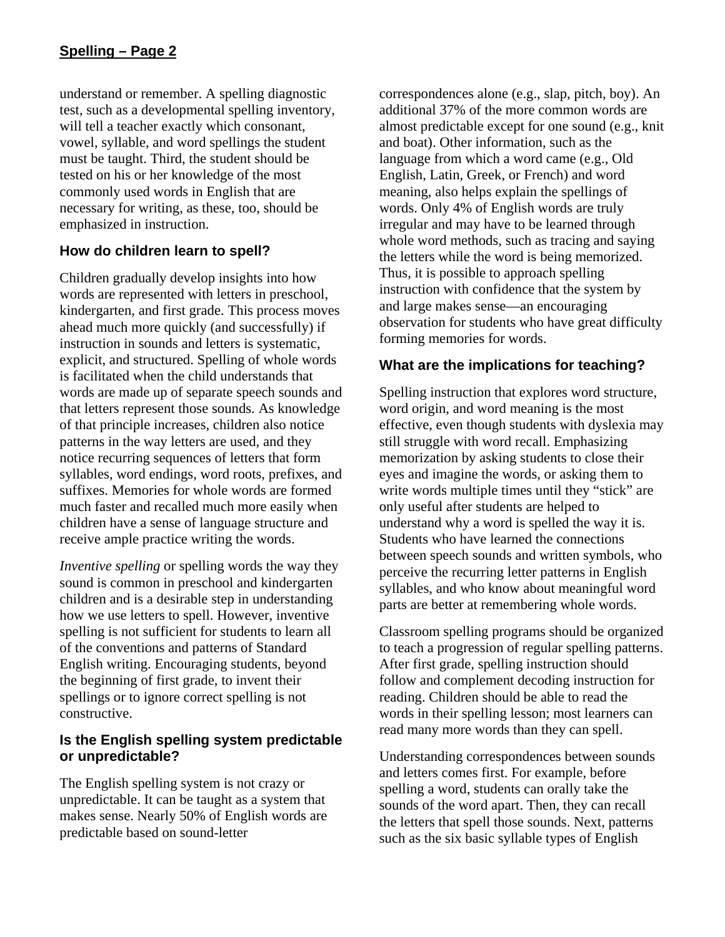understand or remember. A spelling diagnostic test, such as a developmental spelling inventory, will tell a teacher exactly which consonant, vowel, syllable, and word spellings the student must be taught. Third, the student should be tested on his or her knowledge of the most commonly used words in English that are necessary for writing, as these, too, should be emphasized in instruction.

# **How do children learn to spell?**

Children gradually develop insights into how words are represented with letters in preschool, kindergarten, and first grade. This process moves ahead much more quickly (and successfully) if instruction in sounds and letters is systematic, explicit, and structured. Spelling of whole words is facilitated when the child understands that words are made up of separate speech sounds and that letters represent those sounds. As knowledge of that principle increases, children also notice patterns in the way letters are used, and they notice recurring sequences of letters that form syllables, word endings, word roots, prefixes, and suffixes. Memories for whole words are formed much faster and recalled much more easily when children have a sense of language structure and receive ample practice writing the words.

*Inventive spelling* or spelling words the way they sound is common in preschool and kindergarten children and is a desirable step in understanding how we use letters to spell. However, inventive spelling is not sufficient for students to learn all of the conventions and patterns of Standard English writing. Encouraging students, beyond the beginning of first grade, to invent their spellings or to ignore correct spelling is not constructive.

#### **Is the English spelling system predictable or unpredictable?**

The English spelling system is not crazy or unpredictable. It can be taught as a system that makes sense. Nearly 50% of English words are predictable based on sound-letter

correspondences alone (e.g., slap, pitch, boy). An additional 37% of the more common words are almost predictable except for one sound (e.g., knit and boat). Other information, such as the language from which a word came (e.g., Old English, Latin, Greek, or French) and word meaning, also helps explain the spellings of words. Only 4% of English words are truly irregular and may have to be learned through whole word methods, such as tracing and saying the letters while the word is being memorized. Thus, it is possible to approach spelling instruction with confidence that the system by and large makes sense—an encouraging observation for students who have great difficulty forming memories for words.

# **What are the implications for teaching?**

Spelling instruction that explores word structure, word origin, and word meaning is the most effective, even though students with dyslexia may still struggle with word recall. Emphasizing memorization by asking students to close their eyes and imagine the words, or asking them to write words multiple times until they "stick" are only useful after students are helped to understand why a word is spelled the way it is. Students who have learned the connections between speech sounds and written symbols, who perceive the recurring letter patterns in English syllables, and who know about meaningful word parts are better at remembering whole words.

Classroom spelling programs should be organized to teach a progression of regular spelling patterns. After first grade, spelling instruction should follow and complement decoding instruction for reading. Children should be able to read the words in their spelling lesson; most learners can read many more words than they can spell.

Understanding correspondences between sounds and letters comes first. For example, before spelling a word, students can orally take the sounds of the word apart. Then, they can recall the letters that spell those sounds. Next, patterns such as the six basic syllable types of English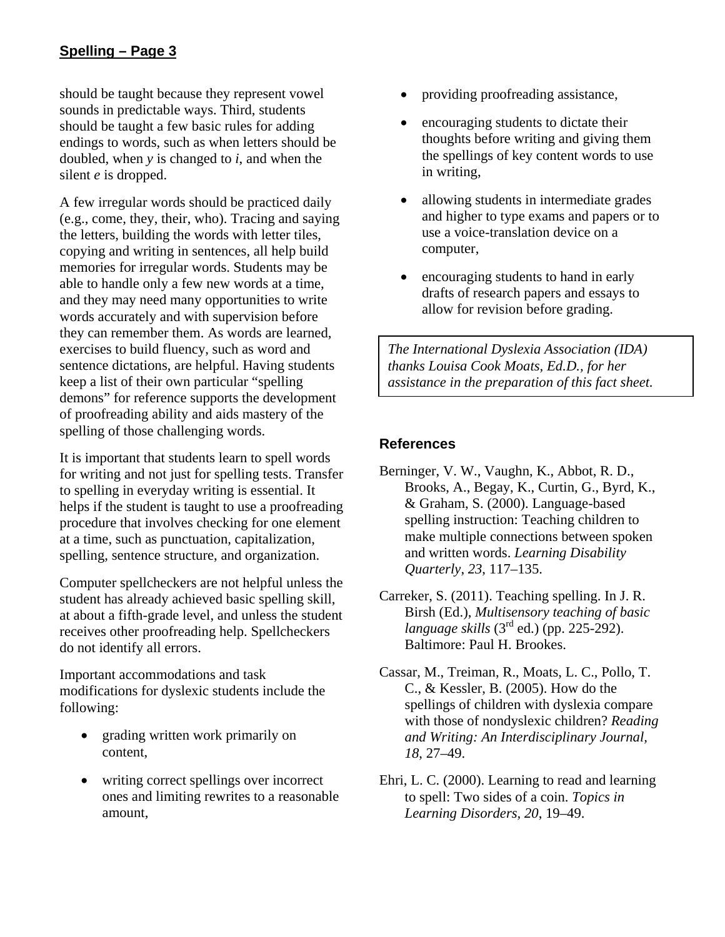should be taught because they represent vowel sounds in predictable ways. Third, students should be taught a few basic rules for adding endings to words, such as when letters should be doubled, when *y* is changed to *i*, and when the silent *e* is dropped.

A few irregular words should be practiced daily (e.g., come, they, their, who). Tracing and saying the letters, building the words with letter tiles, copying and writing in sentences, all help build memories for irregular words. Students may be able to handle only a few new words at a time, and they may need many opportunities to write words accurately and with supervision before they can remember them. As words are learned, exercises to build fluency, such as word and sentence dictations, are helpful. Having students keep a list of their own particular "spelling demons" for reference supports the development of proofreading ability and aids mastery of the spelling of those challenging words.

It is important that students learn to spell words for writing and not just for spelling tests. Transfer to spelling in everyday writing is essential. It helps if the student is taught to use a proofreading procedure that involves checking for one element at a time, such as punctuation, capitalization, spelling, sentence structure, and organization.

Computer spellcheckers are not helpful unless the student has already achieved basic spelling skill, at about a fifth-grade level, and unless the student receives other proofreading help. Spellcheckers do not identify all errors.

Important accommodations and task modifications for dyslexic students include the following:

- grading written work primarily on content,
- writing correct spellings over incorrect ones and limiting rewrites to a reasonable amount,
- providing proofreading assistance,
- encouraging students to dictate their thoughts before writing and giving them the spellings of key content words to use in writing,
- allowing students in intermediate grades and higher to type exams and papers or to use a voice-translation device on a computer,
- encouraging students to hand in early drafts of research papers and essays to allow for revision before grading.

*The International Dyslexia Association (IDA) thanks Louisa Cook Moats, Ed.D., for her assistance in the preparation of this fact sheet.*

# **References**

- Berninger, V. W., Vaughn, K., Abbot, R. D., Brooks, A., Begay, K., Curtin, G., Byrd, K., & Graham, S. (2000). Language-based spelling instruction: Teaching children to make multiple connections between spoken and written words. *Learning Disability Quarterly*, *23*, 117–135.
- Carreker, S. (2011). Teaching spelling. In J. R. Birsh (Ed.), *Multisensory teaching of basic language skills* (3<sup>rd</sup> ed.) (pp. 225-292). Baltimore: Paul H. Brookes.
- Cassar, M., Treiman, R., Moats, L. C., Pollo, T. C., & Kessler, B. (2005). How do the spellings of children with dyslexia compare with those of nondyslexic children? *Reading and Writing: An Interdisciplinary Journal, 18*, 27–49.
- Ehri, L. C. (2000). Learning to read and learning to spell: Two sides of a coin. *Topics in Learning Disorders, 20*, 19–49.